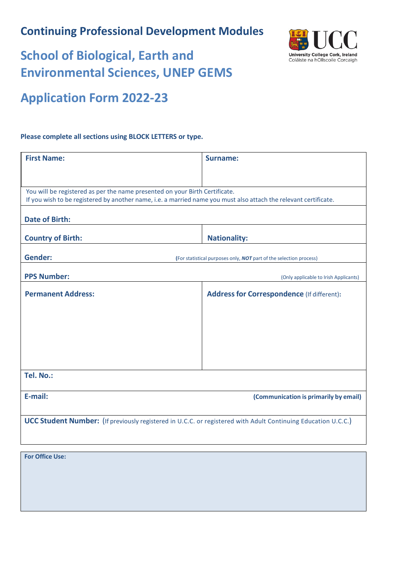## **Continuing Professional Development Modules**



# **School of Biological, Earth and Environmental Sciences, UNEP GEMS**

## **Application Form 2022-23**

#### **Please complete all sections using BLOCK LETTERS or type.**

| <b>First Name:</b>                                                                                               | Surname:                                                           |  |  |
|------------------------------------------------------------------------------------------------------------------|--------------------------------------------------------------------|--|--|
|                                                                                                                  |                                                                    |  |  |
|                                                                                                                  |                                                                    |  |  |
| You will be registered as per the name presented on your Birth Certificate.                                      |                                                                    |  |  |
| If you wish to be registered by another name, i.e. a married name you must also attach the relevant certificate. |                                                                    |  |  |
| <b>Date of Birth:</b>                                                                                            |                                                                    |  |  |
| <b>Country of Birth:</b>                                                                                         | <b>Nationality:</b>                                                |  |  |
|                                                                                                                  |                                                                    |  |  |
| <b>Gender:</b>                                                                                                   | (For statistical purposes only, NOT part of the selection process) |  |  |
| <b>PPS Number:</b>                                                                                               | (Only applicable to Irish Applicants)                              |  |  |
| <b>Permanent Address:</b>                                                                                        | <b>Address for Correspondence (If different):</b>                  |  |  |
|                                                                                                                  |                                                                    |  |  |
|                                                                                                                  |                                                                    |  |  |
|                                                                                                                  |                                                                    |  |  |
|                                                                                                                  |                                                                    |  |  |
|                                                                                                                  |                                                                    |  |  |
|                                                                                                                  |                                                                    |  |  |
| Tel. No.:                                                                                                        |                                                                    |  |  |
|                                                                                                                  |                                                                    |  |  |
| E-mail:                                                                                                          | (Communication is primarily by email)                              |  |  |
|                                                                                                                  |                                                                    |  |  |
| UCC Student Number: (If previously registered in U.C.C. or registered with Adult Continuing Education U.C.C.)    |                                                                    |  |  |
|                                                                                                                  |                                                                    |  |  |
|                                                                                                                  |                                                                    |  |  |

**For Office Use:**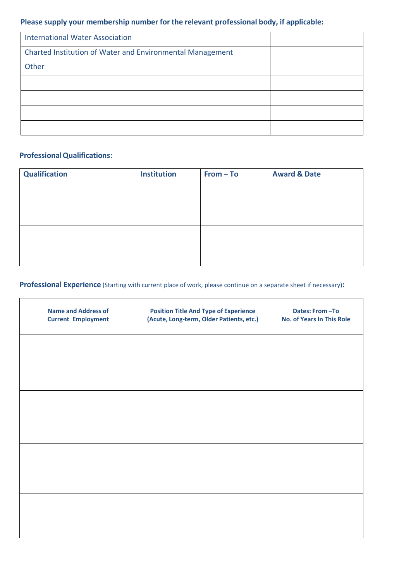### **Please supply your membership number for the relevant professional body, if applicable:**

| <b>International Water Association</b>                    |  |
|-----------------------------------------------------------|--|
| Charted Institution of Water and Environmental Management |  |
| Other                                                     |  |
|                                                           |  |
|                                                           |  |
|                                                           |  |
|                                                           |  |

#### **ProfessionalQualifications:**

| <b>Qualification</b> | <b>Institution</b> | $From - To$ | <b>Award &amp; Date</b> |
|----------------------|--------------------|-------------|-------------------------|
|                      |                    |             |                         |
|                      |                    |             |                         |
|                      |                    |             |                         |
|                      |                    |             |                         |
|                      |                    |             |                         |
|                      |                    |             |                         |

#### **Professional Experience** (Starting with current place of work, please continue on a separate sheet if necessary)**:**

| <b>Name and Address of</b><br><b>Current Employment</b> | <b>Position Title And Type of Experience</b><br>(Acute, Long-term, Older Patients, etc.) | Dates: From-To<br><b>No. of Years In This Role</b> |
|---------------------------------------------------------|------------------------------------------------------------------------------------------|----------------------------------------------------|
|                                                         |                                                                                          |                                                    |
|                                                         |                                                                                          |                                                    |
|                                                         |                                                                                          |                                                    |
|                                                         |                                                                                          |                                                    |
|                                                         |                                                                                          |                                                    |
|                                                         |                                                                                          |                                                    |
|                                                         |                                                                                          |                                                    |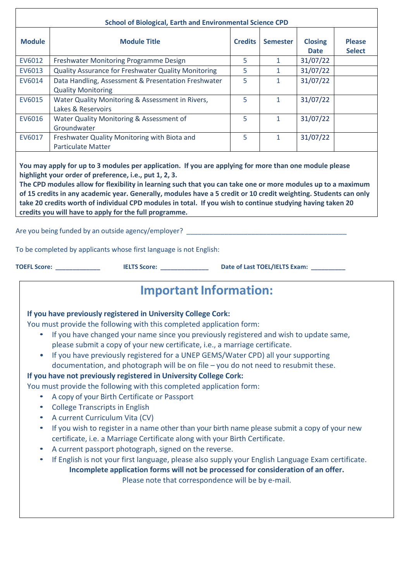|                                                                                         | <b>School of Biological, Earth and Environmental Science CPD</b>                                                                                                                                                                                                                                                                                                                                                                                                                                                                                                                                                                                                                                                                                                                                                                                                                                                                                                                                                                                                                                                                                                                                    |                |                 |                               |                                |
|-----------------------------------------------------------------------------------------|-----------------------------------------------------------------------------------------------------------------------------------------------------------------------------------------------------------------------------------------------------------------------------------------------------------------------------------------------------------------------------------------------------------------------------------------------------------------------------------------------------------------------------------------------------------------------------------------------------------------------------------------------------------------------------------------------------------------------------------------------------------------------------------------------------------------------------------------------------------------------------------------------------------------------------------------------------------------------------------------------------------------------------------------------------------------------------------------------------------------------------------------------------------------------------------------------------|----------------|-----------------|-------------------------------|--------------------------------|
| <b>Module</b>                                                                           | <b>Module Title</b>                                                                                                                                                                                                                                                                                                                                                                                                                                                                                                                                                                                                                                                                                                                                                                                                                                                                                                                                                                                                                                                                                                                                                                                 | <b>Credits</b> | <b>Semester</b> | <b>Closing</b><br><b>Date</b> | <b>Please</b><br><b>Select</b> |
| EV6012                                                                                  | Freshwater Monitoring Programme Design                                                                                                                                                                                                                                                                                                                                                                                                                                                                                                                                                                                                                                                                                                                                                                                                                                                                                                                                                                                                                                                                                                                                                              | 5              | $\mathbf{1}$    | 31/07/22                      |                                |
| EV6013                                                                                  | <b>Quality Assurance for Freshwater Quality Monitoring</b>                                                                                                                                                                                                                                                                                                                                                                                                                                                                                                                                                                                                                                                                                                                                                                                                                                                                                                                                                                                                                                                                                                                                          | 5              | $\mathbf{1}$    | 31/07/22                      |                                |
| EV6014                                                                                  | Data Handling, Assessment & Presentation Freshwater                                                                                                                                                                                                                                                                                                                                                                                                                                                                                                                                                                                                                                                                                                                                                                                                                                                                                                                                                                                                                                                                                                                                                 | 5              | $\mathbf{1}$    | 31/07/22                      |                                |
|                                                                                         | <b>Quality Monitoring</b>                                                                                                                                                                                                                                                                                                                                                                                                                                                                                                                                                                                                                                                                                                                                                                                                                                                                                                                                                                                                                                                                                                                                                                           |                |                 |                               |                                |
| EV6015                                                                                  | Water Quality Monitoring & Assessment in Rivers,                                                                                                                                                                                                                                                                                                                                                                                                                                                                                                                                                                                                                                                                                                                                                                                                                                                                                                                                                                                                                                                                                                                                                    | 5              | $\mathbf{1}$    | 31/07/22                      |                                |
|                                                                                         | Lakes & Reservoirs                                                                                                                                                                                                                                                                                                                                                                                                                                                                                                                                                                                                                                                                                                                                                                                                                                                                                                                                                                                                                                                                                                                                                                                  |                |                 |                               |                                |
| EV6016                                                                                  | Water Quality Monitoring & Assessment of<br>Groundwater                                                                                                                                                                                                                                                                                                                                                                                                                                                                                                                                                                                                                                                                                                                                                                                                                                                                                                                                                                                                                                                                                                                                             | 5              | $\mathbf{1}$    | 31/07/22                      |                                |
| EV6017                                                                                  | Freshwater Quality Monitoring with Biota and<br><b>Particulate Matter</b>                                                                                                                                                                                                                                                                                                                                                                                                                                                                                                                                                                                                                                                                                                                                                                                                                                                                                                                                                                                                                                                                                                                           | 5              | $\mathbf{1}$    | 31/07/22                      |                                |
|                                                                                         | Are you being funded by an outside agency/employer? Letter that the control of the state of the control of the<br>To be completed by applicants whose first language is not English:<br>TOEFL Score: <u>___________________</u>                                                                                                                                                                                                                                                                                                                                                                                                                                                                                                                                                                                                                                                                                                                                                                                                                                                                                                                                                                     |                |                 |                               |                                |
|                                                                                         | <b>Important Information:</b>                                                                                                                                                                                                                                                                                                                                                                                                                                                                                                                                                                                                                                                                                                                                                                                                                                                                                                                                                                                                                                                                                                                                                                       |                |                 |                               |                                |
| $\bullet$<br>$\bullet$<br>$\bullet$<br>$\bullet$<br>$\bullet$<br>$\bullet$<br>$\bullet$ | If you have previously registered in University College Cork:<br>You must provide the following with this completed application form:<br>If you have changed your name since you previously registered and wish to update same,<br>please submit a copy of your new certificate, i.e., a marriage certificate.<br>If you have previously registered for a UNEP GEMS/Water CPD) all your supporting<br>documentation, and photograph will be on file - you do not need to resubmit these.<br>If you have not previously registered in University College Cork:<br>You must provide the following with this completed application form:<br>A copy of your Birth Certificate or Passport<br><b>College Transcripts in English</b><br>A current Curriculum Vita (CV)<br>If you wish to register in a name other than your birth name please submit a copy of your new<br>certificate, i.e. a Marriage Certificate along with your Birth Certificate.<br>A current passport photograph, signed on the reverse.<br>If English is not your first language, please also supply your English Language Exam certificate.<br>Incomplete application forms will not be processed for consideration of an offer. |                |                 |                               |                                |